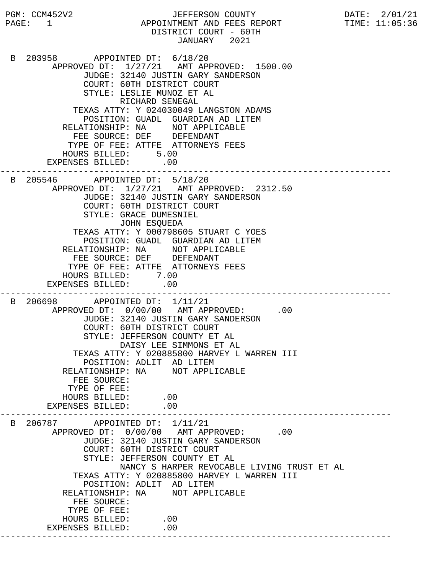PGM: CCM452V2 JEFFERSON COUNTY DATE: 2/01/21 PAGE: 1 APPOINTMENT AND FEES REPORT TIME: 11:05:36 DISTRICT COURT - 60TH JANUARY 2021 B 203958 APPOINTED DT: 6/18/20 APPROVED DT: 1/27/21 AMT APPROVED: 1500.00 JUDGE: 32140 JUSTIN GARY SANDERSON COURT: 60TH DISTRICT COURT STYLE: LESLIE MUNOZ ET AL RICHARD SENEGAL TEXAS ATTY: Y 024030049 LANGSTON ADAMS POSITION: GUADL GUARDIAN AD LITEM RELATIONSHIP: NA NOT APPLICABLE FEE SOURCE: DEF DEFENDANT TYPE OF FEE: ATTFE ATTORNEYS FEES HOURS BILLED: 5.00 EXPENSES BILLED: .00 --------------------------------------------------------------------------- B 205546 APPOINTED DT: 5/18/20 APPROVED DT: 1/27/21 AMT APPROVED: 2312.50 JUDGE: 32140 JUSTIN GARY SANDERSON COURT: 60TH DISTRICT COURT STYLE: GRACE DUMESNIEL JOHN ESQUEDA TEXAS ATTY: Y 000798605 STUART C YOES POSITION: GUADL GUARDIAN AD LITEM RELATIONSHIP: NA NOT APPLICABLE FEE SOURCE: DEF DEFENDANT TYPE OF FEE: ATTFE ATTORNEYS FEES HOURS BILLED: 7.00 EXPENSES BILLED: .00 --------------------------------------------------------------------------- B 206698 APPOINTED DT: 1/11/21 APPROVED DT:  $0/00/00$  AMT APPROVED: .00 JUDGE: 32140 JUSTIN GARY SANDERSON COURT: 60TH DISTRICT COURT STYLE: JEFFERSON COUNTY ET AL DAISY LEE SIMMONS ET AL TEXAS ATTY: Y 020885800 HARVEY L WARREN III POSITION: ADLIT AD LITEM RELATIONSHIP: NA NOT APPLICABLE FEE SOURCE: TYPE OF FEE: HOURS BILLED: .00<br>ENSES BILLED: .00 EXPENSES BILLED: --------------------------------------------------------------------------- B 206787 APPOINTED DT: 1/11/21 APPROVED DT:  $0/00/00$  AMT APPROVED: .00 JUDGE: 32140 JUSTIN GARY SANDERSON COURT: 60TH DISTRICT COURT STYLE: JEFFERSON COUNTY ET AL NANCY S HARPER REVOCABLE LIVING TRUST ET AL TEXAS ATTY: Y 020885800 HARVEY L WARREN III POSITION: ADLIT AD LITEM RELATIONSHIP: NA NOT APPLICABLE FEE SOURCE: TYPE OF FEE: HOURS BILLED: .00 EXPENSES BILLED: .00 ---------------------------------------------------------------------------